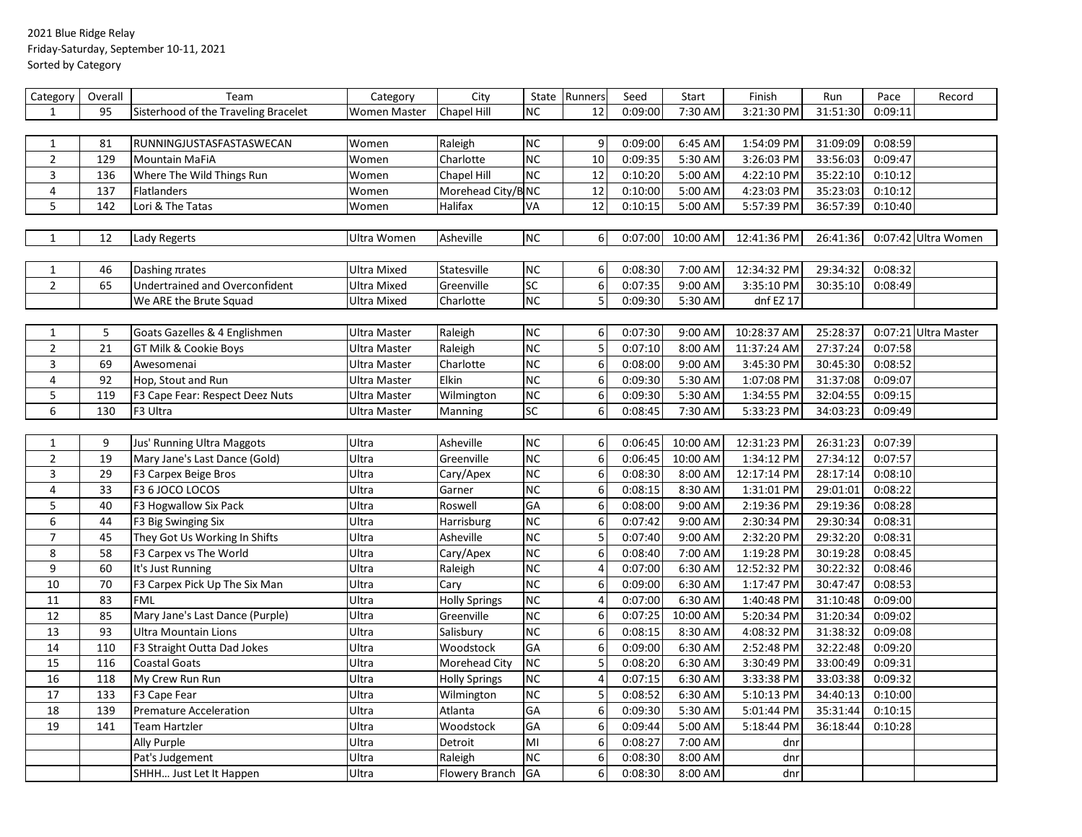## 2021 Blue Ridge Relay Friday-Saturday, September 10-11, 2021 Sorted by Category

| Category       | Overall | Team                                 | Category            | City                 |                          | State Runners    | Seed    | Start                | Finish      | Run      | Pace    | Record               |
|----------------|---------|--------------------------------------|---------------------|----------------------|--------------------------|------------------|---------|----------------------|-------------|----------|---------|----------------------|
| $\mathbf{1}$   | 95      | Sisterhood of the Traveling Bracelet | <b>Women Master</b> | <b>Chapel Hill</b>   | <b>NC</b>                | 12               | 0:09:00 | 7:30 AM              | 3:21:30 PM  | 31:51:30 | 0:09:11 |                      |
|                |         |                                      |                     |                      |                          |                  |         |                      |             |          |         |                      |
| $\mathbf{1}$   | 81      | RUNNINGJUSTASFASTASWECAN             | Women               | Raleigh              | <b>NC</b>                | 9 <sub>l</sub>   | 0:09:00 | 6:45 AM              | 1:54:09 PM  | 31:09:09 | 0:08:59 |                      |
| $\overline{2}$ | 129     | <b>Mountain MaFiA</b>                | Women               | Charlotte            | <b>NC</b>                | 10               | 0:09:35 | 5:30 AM              | 3:26:03 PM  | 33:56:03 | 0:09:47 |                      |
| 3              | 136     | Where The Wild Things Run            | Women               | Chapel Hill          | <b>NC</b>                | 12               | 0:10:20 | 5:00 AM              | 4:22:10 PM  | 35:22:10 | 0:10:12 |                      |
| 4              | 137     | <b>Flatlanders</b>                   | Women               | Morehead City/B NC   |                          | 12               | 0:10:00 | $\overline{5:}00$ AM | 4:23:03 PM  | 35:23:03 | 0:10:12 |                      |
| 5              | 142     | Lori & The Tatas                     | Women               | Halifax              | VA                       | 12               | 0:10:15 | 5:00 AM              | 5:57:39 PM  | 36:57:39 | 0:10:40 |                      |
|                |         |                                      |                     |                      |                          |                  |         |                      |             |          |         |                      |
| $1\,$          | 12      | <b>Lady Regerts</b>                  | Ultra Women         | Asheville            | <b>NC</b>                | $6 \mid$         | 0:07:00 | 10:00 AM             | 12:41:36 PM | 26:41:36 |         | 0:07:42 Ultra Women  |
|                |         |                                      |                     |                      |                          |                  |         |                      |             |          |         |                      |
| $\mathbf{1}$   | 46      | Dashing πrates                       | Ultra Mixed         | Statesville          | <b>NC</b>                | $6 \mid$         | 0:08:30 | 7:00 AM              | 12:34:32 PM | 29:34:32 | 0:08:32 |                      |
| $\overline{2}$ | 65      | Undertrained and Overconfident       | Ultra Mixed         | Greenville           | SC                       | $6 \mid$         | 0:07:35 | 9:00 AM              | 3:35:10 PM  | 30:35:10 | 0:08:49 |                      |
|                |         | We ARE the Brute Squad               | Ultra Mixed         | Charlotte            | <b>NC</b>                | 5                | 0:09:30 | 5:30 AM              | dnf EZ 17   |          |         |                      |
|                |         |                                      |                     |                      |                          |                  |         |                      |             |          |         |                      |
| $\mathbf{1}$   | 5       | Goats Gazelles & 4 Englishmen        | Ultra Master        | Raleigh              | <b>NC</b>                | 6 <sup>1</sup>   | 0:07:30 | 9:00 AM              | 10:28:37 AM | 25:28:37 |         | 0:07:21 Ultra Master |
| $\overline{2}$ | 21      | GT Milk & Cookie Boys                | Ultra Master        | Raleigh              | <b>NC</b>                | 5                | 0:07:10 | 8:00 AM              | 11:37:24 AM | 27:37:24 | 0:07:58 |                      |
| 3              | 69      | Awesomenai                           | Ultra Master        | Charlotte            | <b>NC</b>                | $6 \mid$         | 0:08:00 | 9:00 AM              | 3:45:30 PM  | 30:45:30 | 0:08:52 |                      |
| 4              | 92      | Hop, Stout and Run                   | Ultra Master        | Elkin                | <b>NC</b>                | 6 <sup>1</sup>   | 0:09:30 | 5:30 AM              | 1:07:08 PM  | 31:37:08 | 0:09:07 |                      |
| 5              | 119     | F3 Cape Fear: Respect Deez Nuts      | Ultra Master        | Wilmington           | <b>NC</b>                | $\boldsymbol{6}$ | 0:09:30 | 5:30 AM              | 1:34:55 PM  | 32:04:55 | 0:09:15 |                      |
| 6              | 130     | F3 Ultra                             | Ultra Master        | Manning              | $\overline{SC}$          | 6                | 0:08:45 | 7:30 AM              | 5:33:23 PM  | 34:03:23 | 0:09:49 |                      |
|                |         |                                      |                     |                      |                          |                  |         |                      |             |          |         |                      |
| $\mathbf{1}$   | 9       | Jus' Running Ultra Maggots           | Ultra               | Asheville            | <b>NC</b>                | $6 \mid$         | 0:06:45 | 10:00 AM             | 12:31:23 PM | 26:31:23 | 0:07:39 |                      |
| $\overline{2}$ | 19      | Mary Jane's Last Dance (Gold)        | Ultra               | Greenville           | <b>NC</b>                | $6\overline{)}$  | 0:06:45 | 10:00 AM             | 1:34:12 PM  | 27:34:12 | 0:07:57 |                      |
| $\overline{3}$ | 29      | F3 Carpex Beige Bros                 | Ultra               | Cary/Apex            | <b>NC</b>                | 6                | 0:08:30 | 8:00 AM              | 12:17:14 PM | 28:17:14 | 0:08:10 |                      |
| 4              | 33      | F3 6 JOCO LOCOS                      | Ultra               | Garner               | <b>NC</b>                | 6                | 0:08:15 | 8:30 AM              | 1:31:01 PM  | 29:01:01 | 0:08:22 |                      |
| 5              | 40      | F3 Hogwallow Six Pack                | Ultra               | Roswell              | GA                       | $6 \mid$         | 0:08:00 | 9:00 AM              | 2:19:36 PM  | 29:19:36 | 0:08:28 |                      |
| 6              | 44      | F3 Big Swinging Six                  | Ultra               | Harrisburg           | <b>NC</b>                | $6 \mid$         | 0:07:42 | 9:00 AM              | 2:30:34 PM  | 29:30:34 | 0:08:31 |                      |
| $\overline{7}$ | 45      | They Got Us Working In Shifts        | Ultra               | Asheville            | <b>NC</b>                | 5                | 0:07:40 | 9:00 AM              | 2:32:20 PM  | 29:32:20 | 0:08:31 |                      |
| 8              | 58      | F3 Carpex vs The World               | Ultra               | Cary/Apex            | <b>NC</b>                | 6                | 0:08:40 | 7:00 AM              | 1:19:28 PM  | 30:19:28 | 0:08:45 |                      |
| $\overline{9}$ | 60      | It's Just Running                    | Ultra               | Raleigh              | $\overline{\text{NC}}$   | $\overline{4}$   | 0:07:00 | 6:30 AM              | 12:52:32 PM | 30:22:32 | 0:08:46 |                      |
| 10             | 70      | F3 Carpex Pick Up The Six Man        | Ultra               | Cary                 | <b>NC</b>                | 6                | 0:09:00 | 6:30 AM              | 1:17:47 PM  | 30:47:47 | 0:08:53 |                      |
| 11             | 83      | <b>FML</b>                           | Ultra               | <b>Holly Springs</b> | <b>NC</b>                | 4                | 0:07:00 | 6:30 AM              | 1:40:48 PM  | 31:10:48 | 0:09:00 |                      |
| 12             | 85      | Mary Jane's Last Dance (Purple)      | Ultra               | Greenville           | <b>NC</b>                | $6 \mid$         | 0:07:25 | 10:00 AM             | 5:20:34 PM  | 31:20:34 | 0:09:02 |                      |
| 13             | 93      | <b>Ultra Mountain Lions</b>          | Ultra               | Salisbury            | <b>NC</b>                | 6                | 0:08:15 | 8:30 AM              | 4:08:32 PM  | 31:38:32 | 0:09:08 |                      |
| 14             | 110     | F3 Straight Outta Dad Jokes          | Ultra               | Woodstock            | GA                       | 6                | 0:09:00 | 6:30 AM              | 2:52:48 PM  | 32:22:48 | 0:09:20 |                      |
| 15             | 116     | <b>Coastal Goats</b>                 | <b>Ultra</b>        | Morehead City        | <b>NC</b>                | 5                | 0:08:20 | 6:30 AM              | 3:30:49 PM  | 33:00:49 | 0:09:31 |                      |
| 16             | 118     | My Crew Run Run                      | Ultra               | <b>Holly Springs</b> | $\overline{\mathsf{NC}}$ | 4                | 0:07:15 | 6:30 AM              | 3:33:38 PM  | 33:03:38 | 0:09:32 |                      |
| 17             | 133     | F3 Cape Fear                         | Ultra               | Wilmington           | <b>NC</b>                | 5                | 0:08:52 | 6:30 AM              | 5:10:13 PM  | 34:40:13 | 0:10:00 |                      |
| 18             | 139     | <b>Premature Acceleration</b>        | Ultra               | Atlanta              | GA                       | 6                | 0:09:30 | 5:30 AM              | 5:01:44 PM  | 35:31:44 | 0:10:15 |                      |
| 19             | 141     | Team Hartzler                        | Ultra               | Woodstock            | GA                       | 6                | 0:09:44 | 5:00 AM              | 5:18:44 PM  | 36:18:44 | 0:10:28 |                      |
|                |         | Ally Purple                          | Ultra               | Detroit              | MI                       | 6                | 0:08:27 | 7:00 AM              | dnr         |          |         |                      |
|                |         | Pat's Judgement                      | Ultra               | Raleigh              | <b>NC</b>                | 6                | 0:08:30 | 8:00 AM              | dnr         |          |         |                      |
|                |         | SHHH Just Let It Happen              | Ultra               | Flowery Branch       | GA                       | 6                | 0:08:30 | 8:00 AM              | dnr         |          |         |                      |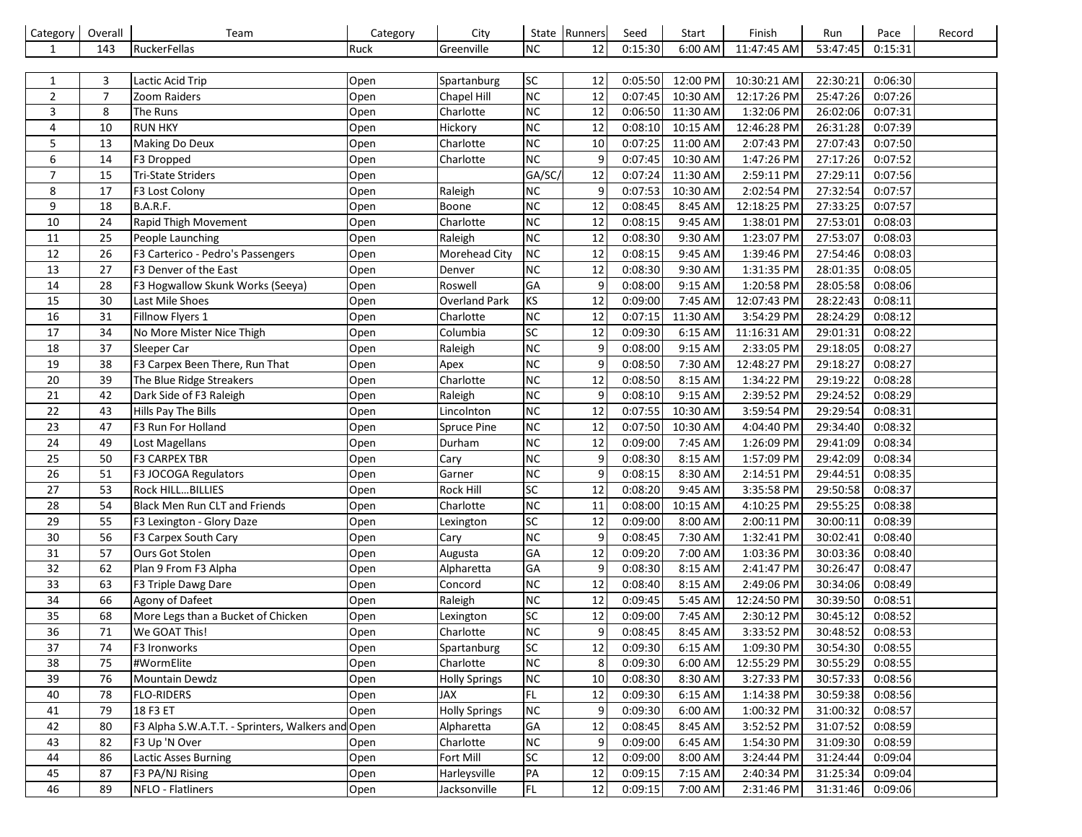| Category       | Overall        | Team                                              | Category | City                 |           | State Runners    | Seed    | Start     | Finish      | Run      | Pace    | Record |
|----------------|----------------|---------------------------------------------------|----------|----------------------|-----------|------------------|---------|-----------|-------------|----------|---------|--------|
| 1              | 143            | RuckerFellas                                      | Ruck     | Greenville           | NC        | 12               | 0:15:30 | 6:00 AM   | 11:47:45 AM | 53:47:45 | 0:15:31 |        |
|                |                |                                                   |          |                      |           |                  |         |           |             |          |         |        |
| 1              | 3              | Lactic Acid Trip                                  | Open     | Spartanburg          | <b>SC</b> | 12               | 0:05:50 | 12:00 PM  | 10:30:21 AM | 22:30:21 | 0:06:30 |        |
| $\overline{2}$ | $\overline{7}$ | Zoom Raiders                                      | Open     | Chapel Hill          | <b>NC</b> | 12               | 0:07:45 | 10:30 AM  | 12:17:26 PM | 25:47:26 | 0:07:26 |        |
| 3              | 8              | The Runs                                          | Open     | Charlotte            | NC        | 12               | 0:06:50 | 11:30 AM  | 1:32:06 PM  | 26:02:06 | 0:07:31 |        |
| 4              | 10             | <b>RUN HKY</b>                                    | Open     | Hickory              | NC        | 12               | 0:08:10 | 10:15 AM  | 12:46:28 PM | 26:31:28 | 0:07:39 |        |
| 5              | 13             | Making Do Deux                                    | Open     | Charlotte            | NC        | 10               | 0:07:25 | 11:00 AM  | 2:07:43 PM  | 27:07:43 | 0:07:50 |        |
| 6              | 14             | F3 Dropped                                        | Open     | Charlotte            | NC        | 9                | 0:07:45 | 10:30 AM  | 1:47:26 PM  | 27:17:26 | 0:07:52 |        |
| $\overline{7}$ | 15             | <b>Tri-State Striders</b>                         | Open     |                      | GA/SC/    | 12               | 0:07:24 | 11:30 AM  | 2:59:11 PM  | 27:29:11 | 0:07:56 |        |
| 8              | 17             | F3 Lost Colony                                    | Open     | Raleigh              | <b>NC</b> | 9                | 0:07:53 | 10:30 AM  | 2:02:54 PM  | 27:32:54 | 0:07:57 |        |
| 9              | 18             | B.A.R.F.                                          | Open     | <b>Boone</b>         | NC        | 12               | 0:08:45 | 8:45 AM   | 12:18:25 PM | 27:33:25 | 0:07:57 |        |
| 10             | 24             | Rapid Thigh Movement                              | Open     | Charlotte            | NC        | 12               | 0:08:15 | 9:45 AM   | 1:38:01 PM  | 27:53:01 | 0:08:03 |        |
| 11             | 25             | People Launching                                  | Open     | Raleigh              | NC        | 12               | 0:08:30 | 9:30 AM   | 1:23:07 PM  | 27:53:07 | 0:08:03 |        |
| 12             | 26             | F3 Carterico - Pedro's Passengers                 | Open     | <b>Morehead City</b> | NC        | 12               | 0:08:15 | 9:45 AM   | 1:39:46 PM  | 27:54:46 | 0:08:03 |        |
| 13             | 27             | F3 Denver of the East                             | Open     | Denver               | <b>NC</b> | 12               | 0:08:30 | 9:30 AM   | 1:31:35 PM  | 28:01:35 | 0:08:05 |        |
| 14             | 28             | F3 Hogwallow Skunk Works (Seeya)                  | Open     | Roswell              | GA        | 9                | 0:08:00 | 9:15 AM   | 1:20:58 PM  | 28:05:58 | 0:08:06 |        |
| 15             | 30             | Last Mile Shoes                                   | Open     | <b>Overland Park</b> | <b>KS</b> | 12               | 0:09:00 | 7:45 AM   | 12:07:43 PM | 28:22:43 | 0:08:11 |        |
| 16             | 31             | Fillnow Flyers 1                                  | Open     | Charlotte            | NC        | 12               | 0:07:15 | 11:30 AM  | 3:54:29 PM  | 28:24:29 | 0:08:12 |        |
| 17             | 34             | No More Mister Nice Thigh                         | Open     | Columbia             | SC        | 12               | 0:09:30 | 6:15 AM   | 11:16:31 AM | 29:01:31 | 0:08:22 |        |
| 18             | 37             | Sleeper Car                                       | Open     | Raleigh              | NC        | 9                | 0:08:00 | 9:15 AM   | 2:33:05 PM  | 29:18:05 | 0:08:27 |        |
| 19             | 38             | F3 Carpex Been There, Run That                    | Open     | Apex                 | <b>NC</b> | 9                | 0:08:50 | 7:30 AM   | 12:48:27 PM | 29:18:27 | 0:08:27 |        |
| 20             | 39             | The Blue Ridge Streakers                          | Open     | Charlotte            | <b>NC</b> | 12               | 0:08:50 | 8:15 AM   | 1:34:22 PM  | 29:19:22 | 0:08:28 |        |
| 21             | 42             | Dark Side of F3 Raleigh                           | Open     | Raleigh              | <b>NC</b> | 9                | 0:08:10 | 9:15 AM   | 2:39:52 PM  | 29:24:52 | 0:08:29 |        |
| 22             | 43             | Hills Pay The Bills                               | Open     | Lincolnton           | <b>NC</b> | 12               | 0:07:55 | 10:30 AM  | 3:59:54 PM  | 29:29:54 | 0:08:31 |        |
| 23             | 47             | F3 Run For Holland                                | Open     | Spruce Pine          | NC        | 12               | 0:07:50 | 10:30 AM  | 4:04:40 PM  | 29:34:40 | 0:08:32 |        |
| 24             | 49             | Lost Magellans                                    | Open     | Durham               | NC        | 12               | 0:09:00 | 7:45 AM   | 1:26:09 PM  | 29:41:09 | 0:08:34 |        |
| 25             | 50             | <b>F3 CARPEX TBR</b>                              | Open     | Cary                 | <b>NC</b> | 9                | 0:08:30 | 8:15 AM   | 1:57:09 PM  | 29:42:09 | 0:08:34 |        |
| 26             | 51             | F3 JOCOGA Regulators                              | Open     | Garner               | <b>NC</b> | 9                | 0:08:15 | 8:30 AM   | 2:14:51 PM  | 29:44:51 | 0:08:35 |        |
| 27             | 53             | Rock HILLBILLIES                                  | Open     | Rock Hill            | SC        | 12               | 0:08:20 | 9:45 AM   | 3:35:58 PM  | 29:50:58 | 0:08:37 |        |
| 28             | 54             | Black Men Run CLT and Friends                     | Open     | Charlotte            | NC        | 11               | 0:08:00 | 10:15 AM  | 4:10:25 PM  | 29:55:25 | 0:08:38 |        |
| 29             | 55             | F3 Lexington - Glory Daze                         | Open     | Lexington            | SC        | 12               | 0:09:00 | 8:00 AM   | 2:00:11 PM  | 30:00:11 | 0:08:39 |        |
| 30             | 56             | F3 Carpex South Cary                              | Open     | Cary                 | <b>NC</b> | $\boldsymbol{9}$ | 0:08:45 | 7:30 AM   | 1:32:41 PM  | 30:02:41 | 0:08:40 |        |
| 31             | 57             | Ours Got Stolen                                   | Open     | Augusta              | GA        | 12               | 0:09:20 | 7:00 AM   | 1:03:36 PM  | 30:03:36 | 0:08:40 |        |
| 32             | 62             | Plan 9 From F3 Alpha                              | Open     | Alpharetta           | GA        | $9\,$            | 0:08:30 | 8:15 AM   | 2:41:47 PM  | 30:26:47 | 0:08:47 |        |
| 33             | 63             | F3 Triple Dawg Dare                               | Open     | Concord              | NC        | 12               | 0:08:40 | 8:15 AM   | 2:49:06 PM  | 30:34:06 | 0:08:49 |        |
| 34             | 66             | Agony of Dafeet                                   | Open     | Raleigh              | <b>NC</b> | 12               | 0:09:45 | 5:45 AM   | 12:24:50 PM | 30:39:50 | 0:08:51 |        |
| 35             | 68             | More Legs than a Bucket of Chicken                | Open     | Lexington            | SC        | 12               | 0:09:00 | 7:45 AM   | 2:30:12 PM  | 30:45:12 | 0:08:52 |        |
| 36             | 71             | We GOAT This!                                     | Open     | Charlotte            | <b>NC</b> | $\overline{9}$   | 0:08:45 | $8:45$ AM | 3:33:52 PM  | 30:48:52 | 0:08:53 |        |
| 37             | 74             | F3 Ironworks                                      | Open     | Spartanburg          | <b>SC</b> | 12               | 0:09:30 | $6:15$ AM | 1:09:30 PM  | 30:54:30 | 0:08:55 |        |
| 38             | 75             | #WormElite                                        | Open     | Charlotte            | <b>NC</b> | 8                | 0:09:30 | 6:00 AM   | 12:55:29 PM | 30:55:29 | 0:08:55 |        |
| 39             | 76             | Mountain Dewdz                                    | Open     | <b>Holly Springs</b> | <b>NC</b> | 10               | 0:08:30 | 8:30 AM   | 3:27:33 PM  | 30:57:33 | 0:08:56 |        |
| 40             | 78             | <b>FLO-RIDERS</b>                                 | Open     | <b>JAX</b>           | <b>FL</b> | 12               | 0:09:30 | 6:15 AM   | 1:14:38 PM  | 30:59:38 | 0:08:56 |        |
| 41             | 79             | 18 F3 ET                                          | Open     | <b>Holly Springs</b> | <b>NC</b> | 9                | 0:09:30 | 6:00 AM   | 1:00:32 PM  | 31:00:32 | 0:08:57 |        |
| 42             | 80             | F3 Alpha S.W.A.T.T. - Sprinters, Walkers and Open |          | Alpharetta           | <b>GA</b> | 12               | 0:08:45 | 8:45 AM   | 3:52:52 PM  | 31:07:52 | 0:08:59 |        |
| 43             | 82             | F3 Up 'N Over                                     | Open     | Charlotte            | <b>NC</b> | 9                | 0:09:00 | 6:45 AM   | 1:54:30 PM  | 31:09:30 | 0:08:59 |        |
| 44             | 86             | <b>Lactic Asses Burning</b>                       | Open     | Fort Mill            | SC        | 12               | 0:09:00 | 8:00 AM   | 3:24:44 PM  | 31:24:44 | 0:09:04 |        |
| 45             | 87             | F3 PA/NJ Rising                                   | Open     | Harleysville         | PA        | 12               | 0:09:15 | 7:15 AM   | 2:40:34 PM  | 31:25:34 | 0:09:04 |        |
| 46             | 89             | NFLO - Flatliners                                 | Open     | Jacksonville         | FL        | 12               | 0:09:15 | 7:00 AM   | 2:31:46 PM  | 31:31:46 | 0:09:06 |        |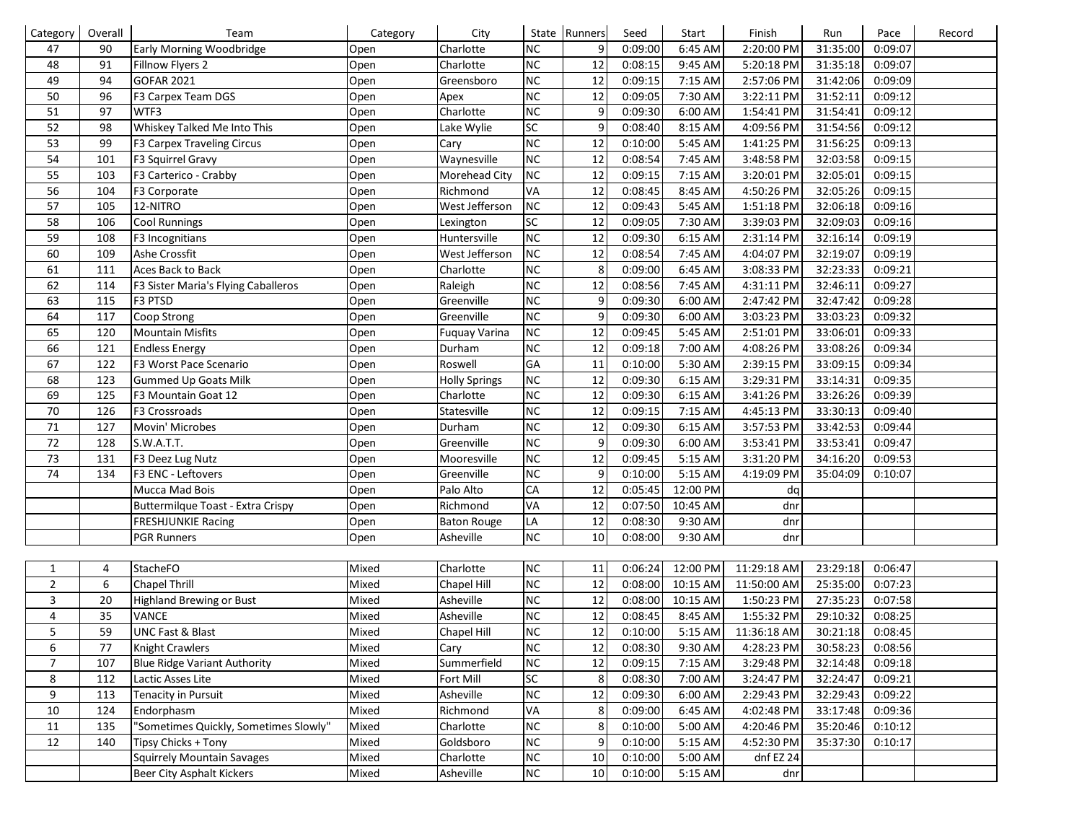| Category       | Overall | Team                                  | Category | City                 |           | State Runners | Seed    | Start     | Finish      | Run      | Pace    | Record |
|----------------|---------|---------------------------------------|----------|----------------------|-----------|---------------|---------|-----------|-------------|----------|---------|--------|
| 47             | 90      | <b>Early Morning Woodbridge</b>       | Open     | Charlotte            | <b>NC</b> | 9             | 0:09:00 | 6:45 AM   | 2:20:00 PM  | 31:35:00 | 0:09:07 |        |
| 48             | 91      | Fillnow Flyers 2                      | Open     | Charlotte            | <b>NC</b> | 12            | 0:08:15 | 9:45 AM   | 5:20:18 PM  | 31:35:18 | 0:09:07 |        |
| 49             | 94      | <b>GOFAR 2021</b>                     | Open     | Greensboro           | <b>NC</b> | 12            | 0:09:15 | 7:15 AM   | 2:57:06 PM  | 31:42:06 | 0:09:09 |        |
| 50             | 96      | F3 Carpex Team DGS                    | Open     | Apex                 | <b>NC</b> | 12            | 0:09:05 | 7:30 AM   | 3:22:11 PM  | 31:52:11 | 0:09:12 |        |
| 51             | 97      | WTF3                                  | Open     | Charlotte            | <b>NC</b> | 9             | 0:09:30 | 6:00 AM   | 1:54:41 PM  | 31:54:41 | 0:09:12 |        |
| 52             | 98      | Whiskey Talked Me Into This           | Open     | Lake Wylie           | SC        | 9             | 0:08:40 | 8:15 AM   | 4:09:56 PM  | 31:54:56 | 0:09:12 |        |
| 53             | 99      | F3 Carpex Traveling Circus            | Open     | Cary                 | <b>NC</b> | 12            | 0:10:00 | 5:45 AM   | 1:41:25 PM  | 31:56:25 | 0:09:13 |        |
| 54             | 101     | F3 Squirrel Gravy                     | Open     | Waynesville          | <b>NC</b> | 12            | 0:08:54 | 7:45 AM   | 3:48:58 PM  | 32:03:58 | 0:09:15 |        |
| 55             | 103     | F3 Carterico - Crabby                 | Open     | Morehead City        | <b>NC</b> | 12            | 0:09:15 | 7:15 AM   | 3:20:01 PM  | 32:05:01 | 0:09:15 |        |
| 56             | 104     | F3 Corporate                          | Open     | Richmond             | VA        | 12            | 0:08:45 | 8:45 AM   | 4:50:26 PM  | 32:05:26 | 0:09:15 |        |
| 57             | 105     | 12-NITRO                              | Open     | West Jefferson       | <b>NC</b> | 12            | 0:09:43 | 5:45 AM   | 1:51:18 PM  | 32:06:18 | 0:09:16 |        |
| 58             | 106     | <b>Cool Runnings</b>                  | Open     | Lexington            | SC        | 12            | 0:09:05 | 7:30 AM   | 3:39:03 PM  | 32:09:03 | 0:09:16 |        |
| 59             | 108     | F3 Incognitians                       | Open     | Huntersville         | <b>NC</b> | 12            | 0:09:30 | 6:15 AM   | 2:31:14 PM  | 32:16:14 | 0:09:19 |        |
| 60             | 109     | Ashe Crossfit                         | Open     | West Jefferson       | <b>NC</b> | 12            | 0:08:54 | 7:45 AM   | 4:04:07 PM  | 32:19:07 | 0:09:19 |        |
| 61             | 111     | Aces Back to Back                     | Open     | Charlotte            | NC        | 8             | 0:09:00 | 6:45 AM   | 3:08:33 PM  | 32:23:33 | 0:09:21 |        |
| 62             | 114     | F3 Sister Maria's Flying Caballeros   | Open     | Raleigh              | <b>NC</b> | 12            | 0:08:56 | 7:45 AM   | 4:31:11 PM  | 32:46:11 | 0:09:27 |        |
| 63             | 115     | F3 PTSD                               | Open     | Greenville           | <b>NC</b> | 9             | 0:09:30 | 6:00 AM   | 2:47:42 PM  | 32:47:42 | 0:09:28 |        |
| 64             | 117     | Coop Strong                           | Open     | Greenville           | NC        | 9             | 0:09:30 | 6:00 AM   | 3:03:23 PM  | 33:03:23 | 0:09:32 |        |
| 65             | 120     | <b>Mountain Misfits</b>               | Open     | <b>Fuquay Varina</b> | <b>NC</b> | 12            | 0:09:45 | 5:45 AM   | 2:51:01 PM  | 33:06:01 | 0:09:33 |        |
| 66             | 121     | <b>Endless Energy</b>                 | Open     | Durham               | <b>NC</b> | 12            | 0:09:18 | 7:00 AM   | 4:08:26 PM  | 33:08:26 | 0:09:34 |        |
| 67             | 122     | F3 Worst Pace Scenario                | Open     | Roswell              | GA        | 11            | 0:10:00 | 5:30 AM   | 2:39:15 PM  | 33:09:15 | 0:09:34 |        |
| 68             | 123     | <b>Gummed Up Goats Milk</b>           | Open     | <b>Holly Springs</b> | <b>NC</b> | 12            | 0:09:30 | 6:15 AM   | 3:29:31 PM  | 33:14:31 | 0:09:35 |        |
| 69             | 125     | F3 Mountain Goat 12                   | Open     | Charlotte            | <b>NC</b> | 12            | 0:09:30 | 6:15 AM   | 3:41:26 PM  | 33:26:26 | 0:09:39 |        |
| 70             | 126     | F3 Crossroads                         | Open     | Statesville          | <b>NC</b> | 12            | 0:09:15 | 7:15 AM   | 4:45:13 PM  | 33:30:13 | 0:09:40 |        |
| 71             | 127     | Movin' Microbes                       | Open     | Durham               | <b>NC</b> | 12            | 0:09:30 | 6:15 AM   | 3:57:53 PM  | 33:42:53 | 0:09:44 |        |
| 72             | 128     | S.W.A.T.T.                            | Open     | Greenville           | <b>NC</b> | 9             | 0:09:30 | 6:00 AM   | 3:53:41 PM  | 33:53:41 | 0:09:47 |        |
| 73             | 131     | F3 Deez Lug Nutz                      | Open     | Mooresville          | <b>NC</b> | 12            | 0:09:45 | 5:15 AM   | 3:31:20 PM  | 34:16:20 | 0:09:53 |        |
| 74             | 134     | F3 ENC - Leftovers                    | Open     | Greenville           | <b>NC</b> | 9             | 0:10:00 | 5:15 AM   | 4:19:09 PM  | 35:04:09 | 0:10:07 |        |
|                |         | Mucca Mad Bois                        | Open     | Palo Alto            | CA        | 12            | 0:05:45 | 12:00 PM  | dq          |          |         |        |
|                |         | Buttermilque Toast - Extra Crispy     | Open     | Richmond             | VA        | 12            | 0:07:50 | 10:45 AM  | dnr         |          |         |        |
|                |         | <b>FRESHJUNKIE Racing</b>             | Open     | <b>Baton Rouge</b>   | LA        | 12            | 0:08:30 | 9:30 AM   | dnr         |          |         |        |
|                |         | <b>PGR Runners</b>                    | Open     | Asheville            | <b>NC</b> | 10            | 0:08:00 | 9:30 AM   | dnr         |          |         |        |
|                |         |                                       |          |                      |           |               |         |           |             |          |         |        |
| $\mathbf{1}$   | 4       | StacheFO                              | Mixed    | Charlotte            | NC        | 11            | 0:06:24 | 12:00 PM  | 11:29:18 AM | 23:29:18 | 0:06:47 |        |
| $\overline{2}$ | 6       | <b>Chapel Thrill</b>                  | Mixed    | Chapel Hill          | <b>NC</b> | 12            | 0:08:00 | 10:15 AM  | 11:50:00 AM | 25:35:00 | 0:07:23 |        |
| 3              | 20      | <b>Highland Brewing or Bust</b>       | Mixed    | Asheville            | <b>NC</b> | 12            | 0:08:00 | 10:15 AM  | 1:50:23 PM  | 27:35:23 | 0:07:58 |        |
| 4              | 35      | VANCE                                 | Mixed    | Asheville            | NC        | 12            | 0:08:45 | 8:45 AM   | 1:55:32 PM  | 29:10:32 | 0:08:25 |        |
| 5              | 59      | <b>UNC Fast &amp; Blast</b>           | Mixed    | Chapel Hill          | <b>NC</b> | 12            | 0:10:00 | $5:15$ AM | 11:36:18 AM | 30:21:18 | 0:08:45 |        |
| 6              | 77      | <b>Knight Crawlers</b>                | Mixed    | Cary                 | NC        | 12            | 0:08:30 | 9:30 AM   | 4:28:23 PM  | 30:58:23 | 0:08:56 |        |
| $\overline{7}$ | 107     | <b>Blue Ridge Variant Authority</b>   | Mixed    | Summerfield          | <b>NC</b> | 12            | 0:09:15 | 7:15 AM   | 3:29:48 PM  | 32:14:48 | 0:09:18 |        |
| 8              | 112     | Lactic Asses Lite                     | Mixed    | Fort Mill            | SC        | 8             | 0:08:30 | 7:00 AM   | 3:24:47 PM  | 32:24:47 | 0:09:21 |        |
| 9              | 113     | Tenacity in Pursuit                   | Mixed    | Asheville            | <b>NC</b> | 12            | 0:09:30 | 6:00 AM   | 2:29:43 PM  | 32:29:43 | 0:09:22 |        |
| 10             | 124     | Endorphasm                            | Mixed    | Richmond             | VA        | 8             | 0:09:00 | 6:45 AM   | 4:02:48 PM  | 33:17:48 | 0:09:36 |        |
| 11             | 135     | "Sometimes Quickly, Sometimes Slowly" | Mixed    | Charlotte            | <b>NC</b> | 8             | 0:10:00 | 5:00 AM   | 4:20:46 PM  | 35:20:46 | 0:10:12 |        |
| 12             | 140     | Tipsy Chicks + Tony                   | Mixed    | Goldsboro            | <b>NC</b> | 9             | 0:10:00 | 5:15 AM   | 4:52:30 PM  | 35:37:30 | 0:10:17 |        |
|                |         | <b>Squirrely Mountain Savages</b>     | Mixed    | Charlotte            | <b>NC</b> | 10            | 0:10:00 | 5:00 AM   | dnf EZ 24   |          |         |        |
|                |         | Beer City Asphalt Kickers             | Mixed    | Asheville            | NC        | 10            | 0:10:00 | 5:15 AM   | dnr         |          |         |        |